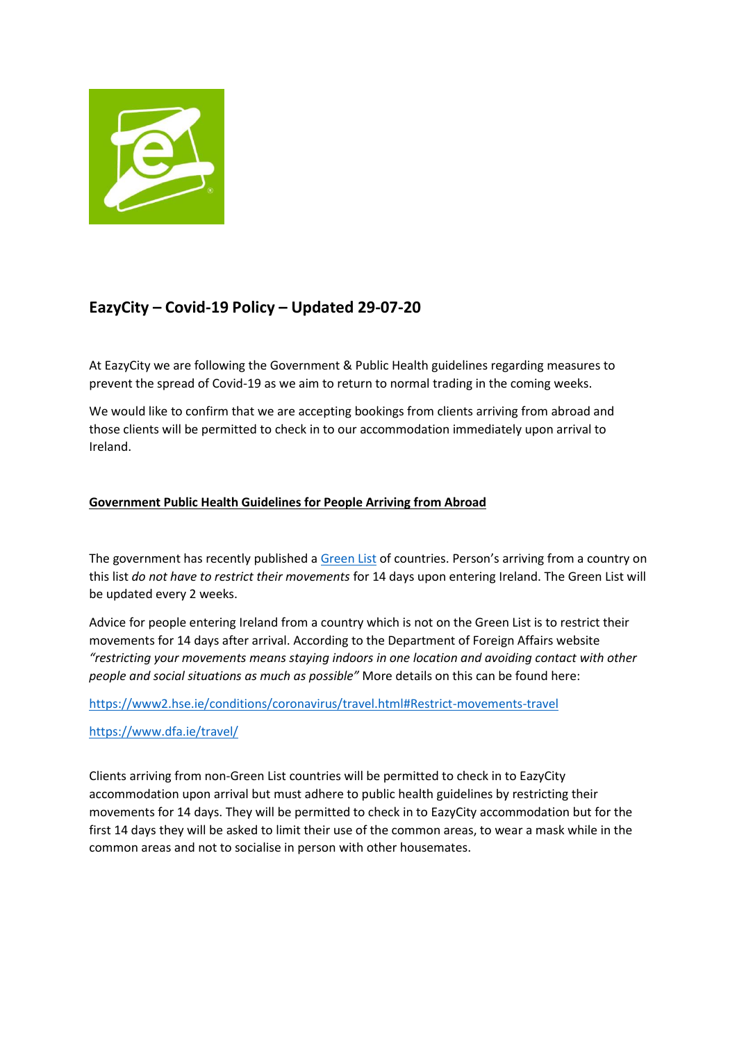

# **EazyCity – Covid-19 Policy – Updated 29-07-20**

At EazyCity we are following the Government & Public Health guidelines regarding measures to prevent the spread of Covid-19 as we aim to return to normal trading in the coming weeks.

We would like to confirm that we are accepting bookings from clients arriving from abroad and those clients will be permitted to check in to our accommodation immediately upon arrival to Ireland.

### **Government Public Health Guidelines for People Arriving from Abroad**

The government has recently published a [Green List](https://www.dfa.ie/travel/) of countries. Person's arriving from a country on this list *do not have to restrict their movements* for 14 days upon entering Ireland. The Green List will be updated every 2 weeks.

Advice for people entering Ireland from a country which is not on the Green List is to restrict their movements for 14 days after arrival. According to the Department of Foreign Affairs website *"restricting your movements means staying indoors in one location and avoiding contact with other people and social situations as much as possible"* More details on this can be found here:

<https://www2.hse.ie/conditions/coronavirus/travel.html#Restrict-movements-travel>

<https://www.dfa.ie/travel/>

Clients arriving from non-Green List countries will be permitted to check in to EazyCity accommodation upon arrival but must adhere to public health guidelines by restricting their movements for 14 days. They will be permitted to check in to EazyCity accommodation but for the first 14 days they will be asked to limit their use of the common areas, to wear a mask while in the common areas and not to socialise in person with other housemates.